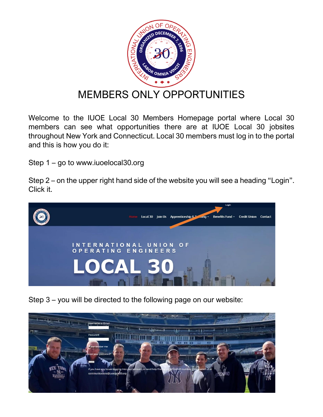

## MEMBERS ONLY OPPORTUNITIES

Welcome to the IUOE Local 30 Members Homepage portal where Local 30 members can see what opportunities there are at IUOE Local 30 jobsites throughout New York and Connecticut. Local 30 members must log in to the portal and this is how you do it:

Step 1 – go to www.iuoelocal30.org

Step 2 – on the upper right hand side of the website you will see a heading "Login". Click it.



Step 3 – you will be directed to the following page on our website: